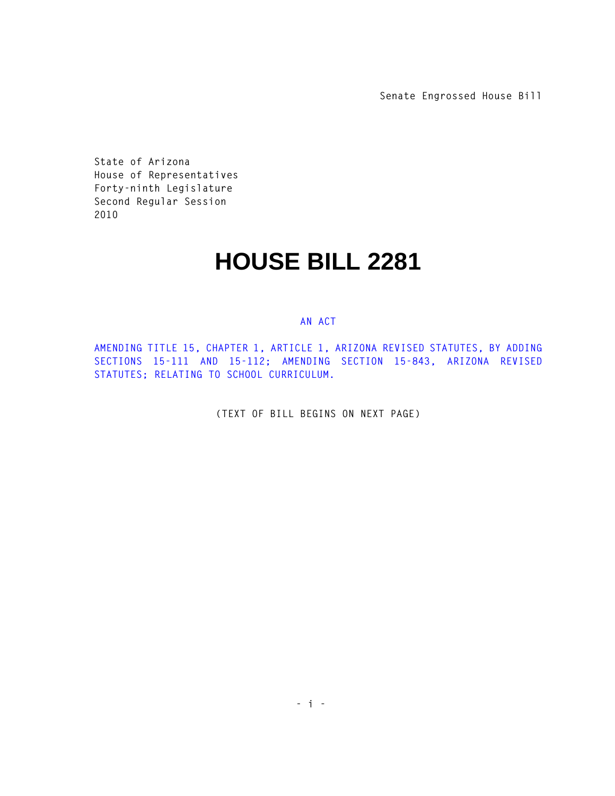**Senate Engrossed House Bill**

**State of Arizona House of Representatives Forty-ninth Legislature Second Regular Session 2010** 

## **HOUSE BILL 2281**

## **AN ACT**

**AMENDING TITLE 15, CHAPTER 1, ARTICLE 1, ARIZONA REVISED STATUTES, BY ADDING SECTIONS 15-111 AND 15-112; AMENDING SECTION 15-843, ARIZONA REVISED STATUTES; RELATING TO SCHOOL CURRICULUM.** 

**(TEXT OF BILL BEGINS ON NEXT PAGE)**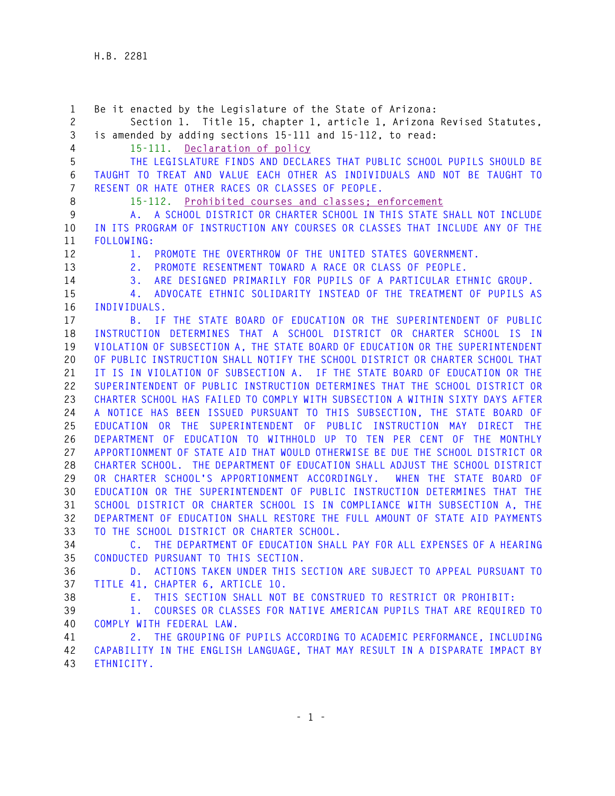**Be it enacted by the Legislature of the State of Arizona: Section 1. Title 15, chapter 1, article 1, Arizona Revised Statutes, is amended by adding sections 15-111 and 15-112, to read: 15-111. Declaration of policy THE LEGISLATURE FINDS AND DECLARES THAT PUBLIC SCHOOL PUPILS SHOULD BE TAUGHT TO TREAT AND VALUE EACH OTHER AS INDIVIDUALS AND NOT BE TAUGHT TO RESENT OR HATE OTHER RACES OR CLASSES OF PEOPLE. 15-112. Prohibited courses and classes; enforcement A. A SCHOOL DISTRICT OR CHARTER SCHOOL IN THIS STATE SHALL NOT INCLUDE IN ITS PROGRAM OF INSTRUCTION ANY COURSES OR CLASSES THAT INCLUDE ANY OF THE FOLLOWING: 1. PROMOTE THE OVERTHROW OF THE UNITED STATES GOVERNMENT. 2. PROMOTE RESENTMENT TOWARD A RACE OR CLASS OF PEOPLE. 3. ARE DESIGNED PRIMARILY FOR PUPILS OF A PARTICULAR ETHNIC GROUP. 4. ADVOCATE ETHNIC SOLIDARITY INSTEAD OF THE TREATMENT OF PUPILS AS INDIVIDUALS. B. IF THE STATE BOARD OF EDUCATION OR THE SUPERINTENDENT OF PUBLIC INSTRUCTION DETERMINES THAT A SCHOOL DISTRICT OR CHARTER SCHOOL IS IN VIOLATION OF SUBSECTION A, THE STATE BOARD OF EDUCATION OR THE SUPERINTENDENT OF PUBLIC INSTRUCTION SHALL NOTIFY THE SCHOOL DISTRICT OR CHARTER SCHOOL THAT IT IS IN VIOLATION OF SUBSECTION A. IF THE STATE BOARD OF EDUCATION OR THE SUPERINTENDENT OF PUBLIC INSTRUCTION DETERMINES THAT THE SCHOOL DISTRICT OR CHARTER SCHOOL HAS FAILED TO COMPLY WITH SUBSECTION A WITHIN SIXTY DAYS AFTER A NOTICE HAS BEEN ISSUED PURSUANT TO THIS SUBSECTION, THE STATE BOARD OF EDUCATION OR THE SUPERINTENDENT OF PUBLIC INSTRUCTION MAY DIRECT THE DEPARTMENT OF EDUCATION TO WITHHOLD UP TO TEN PER CENT OF THE MONTHLY APPORTIONMENT OF STATE AID THAT WOULD OTHERWISE BE DUE THE SCHOOL DISTRICT OR CHARTER SCHOOL. THE DEPARTMENT OF EDUCATION SHALL ADJUST THE SCHOOL DISTRICT OR CHARTER SCHOOL'S APPORTIONMENT ACCORDINGLY. WHEN THE STATE BOARD OF EDUCATION OR THE SUPERINTENDENT OF PUBLIC INSTRUCTION DETERMINES THAT THE SCHOOL DISTRICT OR CHARTER SCHOOL IS IN COMPLIANCE WITH SUBSECTION A, THE DEPARTMENT OF EDUCATION SHALL RESTORE THE FULL AMOUNT OF STATE AID PAYMENTS TO THE SCHOOL DISTRICT OR CHARTER SCHOOL. C. THE DEPARTMENT OF EDUCATION SHALL PAY FOR ALL EXPENSES OF A HEARING CONDUCTED PURSUANT TO THIS SECTION. D. ACTIONS TAKEN UNDER THIS SECTION ARE SUBJECT TO APPEAL PURSUANT TO TITLE 41, CHAPTER 6, ARTICLE 10. E. THIS SECTION SHALL NOT BE CONSTRUED TO RESTRICT OR PROHIBIT: 1. COURSES OR CLASSES FOR NATIVE AMERICAN PUPILS THAT ARE REQUIRED TO COMPLY WITH FEDERAL LAW. 2. THE GROUPING OF PUPILS ACCORDING TO ACADEMIC PERFORMANCE, INCLUDING CAPABILITY IN THE ENGLISH LANGUAGE, THAT MAY RESULT IN A DISPARATE IMPACT BY ETHNICITY.**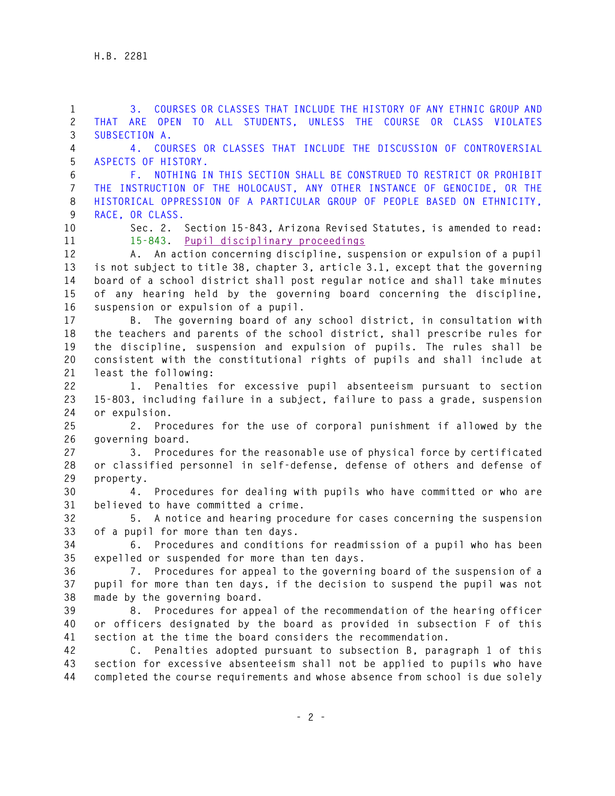**3. COURSES OR CLASSES THAT INCLUDE THE HISTORY OF ANY ETHNIC GROUP AND THAT ARE OPEN TO ALL STUDENTS, UNLESS THE COURSE OR CLASS VIOLATES SUBSECTION A. 4. COURSES OR CLASSES THAT INCLUDE THE DISCUSSION OF CONTROVERSIAL ASPECTS OF HISTORY. F. NOTHING IN THIS SECTION SHALL BE CONSTRUED TO RESTRICT OR PROHIBIT THE INSTRUCTION OF THE HOLOCAUST, ANY OTHER INSTANCE OF GENOCIDE, OR THE HISTORICAL OPPRESSION OF A PARTICULAR GROUP OF PEOPLE BASED ON ETHNICITY, RACE, OR CLASS. Sec. 2. Section 15-843, Arizona Revised Statutes, is amended to read: 15-843. Pupil disciplinary proceedings A. An action concerning discipline, suspension or expulsion of a pupil is not subject to title 38, chapter 3, article 3.1, except that the governing board of a school district shall post regular notice and shall take minutes of any hearing held by the governing board concerning the discipline, suspension or expulsion of a pupil. B. The governing board of any school district, in consultation with the teachers and parents of the school district, shall prescribe rules for the discipline, suspension and expulsion of pupils. The rules shall be consistent with the constitutional rights of pupils and shall include at least the following: 1. Penalties for excessive pupil absenteeism pursuant to section 15-803, including failure in a subject, failure to pass a grade, suspension or expulsion. 2. Procedures for the use of corporal punishment if allowed by the governing board. 3. Procedures for the reasonable use of physical force by certificated or classified personnel in self-defense, defense of others and defense of property. 4. Procedures for dealing with pupils who have committed or who are believed to have committed a crime. 5. A notice and hearing procedure for cases concerning the suspension of a pupil for more than ten days. 6. Procedures and conditions for readmission of a pupil who has been expelled or suspended for more than ten days. 7. Procedures for appeal to the governing board of the suspension of a pupil for more than ten days, if the decision to suspend the pupil was not made by the governing board. 8. Procedures for appeal of the recommendation of the hearing officer or officers designated by the board as provided in subsection F of this section at the time the board considers the recommendation. C. Penalties adopted pursuant to subsection B, paragraph 1 of this section for excessive absenteeism shall not be applied to pupils who have completed the course requirements and whose absence from school is due solely**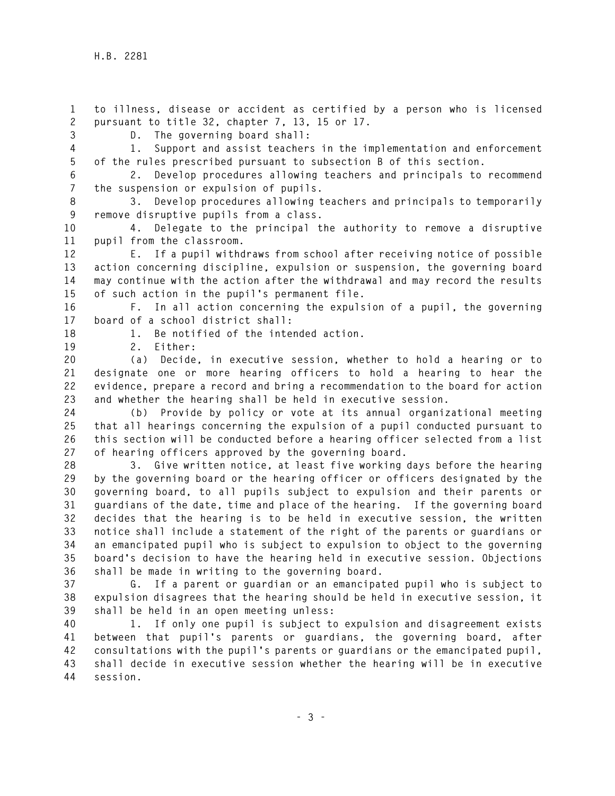**to illness, disease or accident as certified by a person who is licensed pursuant to title 32, chapter 7, 13, 15 or 17.** 

**D. The governing board shall:** 

 **1. Support and assist teachers in the implementation and enforcement of the rules prescribed pursuant to subsection B of this section.** 

 **2. Develop procedures allowing teachers and principals to recommend the suspension or expulsion of pupils.** 

 **3. Develop procedures allowing teachers and principals to temporarily remove disruptive pupils from a class.** 

 **4. Delegate to the principal the authority to remove a disruptive pupil from the classroom.** 

 **E. If a pupil withdraws from school after receiving notice of possible action concerning discipline, expulsion or suspension, the governing board may continue with the action after the withdrawal and may record the results of such action in the pupil's permanent file.** 

 **F. In all action concerning the expulsion of a pupil, the governing board of a school district shall:** 

**1. Be notified of the intended action.** 

**2. Either:** 

 **(a) Decide, in executive session, whether to hold a hearing or to designate one or more hearing officers to hold a hearing to hear the evidence, prepare a record and bring a recommendation to the board for action and whether the hearing shall be held in executive session.** 

 **(b) Provide by policy or vote at its annual organizational meeting that all hearings concerning the expulsion of a pupil conducted pursuant to this section will be conducted before a hearing officer selected from a list of hearing officers approved by the governing board.** 

 **3. Give written notice, at least five working days before the hearing by the governing board or the hearing officer or officers designated by the governing board, to all pupils subject to expulsion and their parents or guardians of the date, time and place of the hearing. If the governing board decides that the hearing is to be held in executive session, the written notice shall include a statement of the right of the parents or guardians or an emancipated pupil who is subject to expulsion to object to the governing board's decision to have the hearing held in executive session. Objections shall be made in writing to the governing board.** 

 **G. If a parent or guardian or an emancipated pupil who is subject to expulsion disagrees that the hearing should be held in executive session, it shall be held in an open meeting unless:** 

 **1. If only one pupil is subject to expulsion and disagreement exists between that pupil's parents or guardians, the governing board, after consultations with the pupil's parents or guardians or the emancipated pupil, shall decide in executive session whether the hearing will be in executive session.**